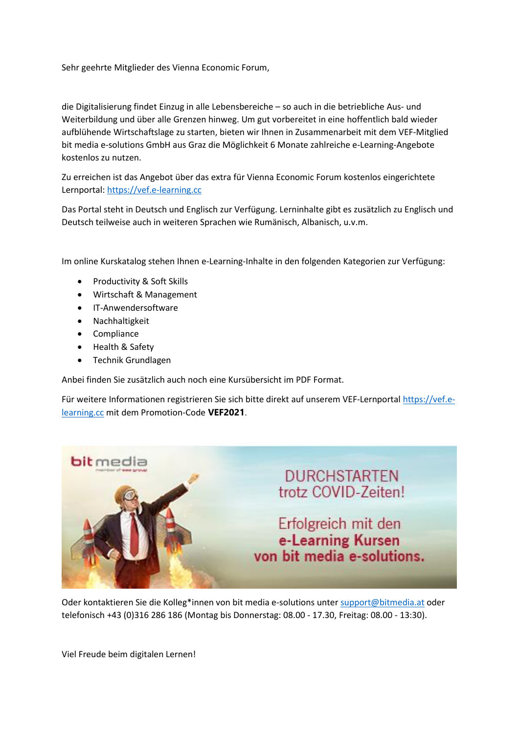Sehr geehrte Mitglieder des Vienna Economic Forum,

die Digitalisierung findet Einzug in alle Lebensbereiche – so auch in die betriebliche Aus- und Weiterbildung und über alle Grenzen hinweg. Um gut vorbereitet in eine hoffentlich bald wieder aufblühende Wirtschaftslage zu starten, bieten wir Ihnen in Zusammenarbeit mit dem VEF-Mitglied bit media e-solutions GmbH aus Graz die Möglichkeit 6 Monate zahlreiche e-Learning-Angebote kostenlos zu nutzen.

Zu erreichen ist das Angebot über das extra für Vienna Economic Forum kostenlos eingerichtete Lernportal: [https://vef.e-learning.cc](https://vef.e-learning.cc/)

Das Portal steht in Deutsch und Englisch zur Verfügung. Lerninhalte gibt es zusätzlich zu Englisch und Deutsch teilweise auch in weiteren Sprachen wie Rumänisch, Albanisch, u.v.m.

Im online Kurskatalog stehen Ihnen e-Learning-Inhalte in den folgenden Kategorien zur Verfügung:

- [Productivity & Soft Skills](https://www.bitmedia.at/onlineshop/productivity-soft-skills/)
- [Wirtschaft & Management](https://www.bitmedia.at/onlineshop/wirtschaft-und-management/)
- [IT-Anwendersoftware](https://www.bitmedia.at/onlineshop/it-anwendersoftware/)
- [Nachhaltigkeit](https://www.bitmedia.at/onlineshop/nachhaltigkeit/)
- [Compliance](https://www.bitmedia.at/onlineshop/compliance/)
- [Health & Safety](https://www.bitmedia.at/onlineshop/health-safety/)
- Technik Grundlagen

Anbei finden Sie zusätzlich auch noch eine Kursübersicht im PDF Format.

Für weitere Informationen registrieren Sie sich bitte direkt auf unserem VEF-Lernportal [https://vef.e](https://vef.e-learning.cc/)[learning.cc](https://vef.e-learning.cc/) mit dem Promotion-Code **VEF2021**.



Oder kontaktieren Sie die Kolleg\*innen von bit media e-solutions unte[r support@bitmedia.at](mailto:support@bitmedia.at) oder telefonisch +43 (0)316 286 186 (Montag bis Donnerstag: 08.00 - 17.30, Freitag: 08.00 - 13:30).

Viel Freude beim digitalen Lernen!